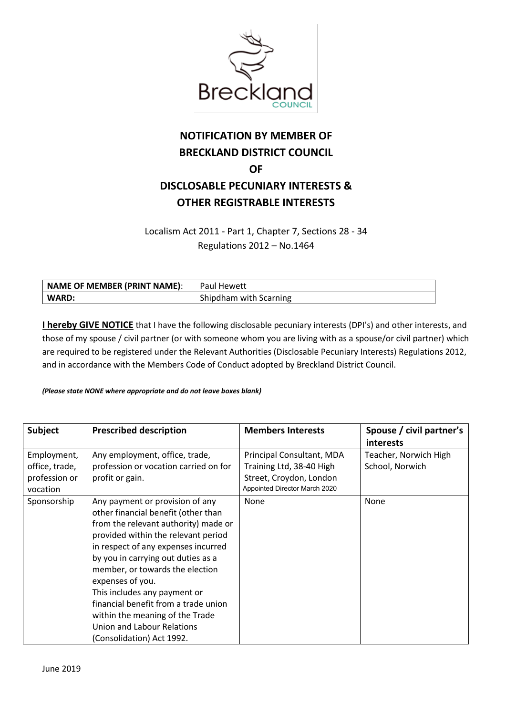

## **NOTIFICATION BY MEMBER OF BRECKLAND DISTRICT COUNCIL OF DISCLOSABLE PECUNIARY INTERESTS & OTHER REGISTRABLE INTERESTS**

Localism Act 2011 - Part 1, Chapter 7, Sections 28 - 34 Regulations 2012 – No.1464

| NAME OF MEMBER (PRINT NAME): | <b>Paul Hewett</b>     |
|------------------------------|------------------------|
| WARD:                        | Shipdham with Scarning |

**I hereby GIVE NOTICE** that I have the following disclosable pecuniary interests (DPI's) and other interests, and those of my spouse / civil partner (or with someone whom you are living with as a spouse/or civil partner) which are required to be registered under the Relevant Authorities (Disclosable Pecuniary Interests) Regulations 2012, and in accordance with the Members Code of Conduct adopted by Breckland District Council.

## *(Please state NONE where appropriate and do not leave boxes blank)*

| <b>Subject</b>                                             | <b>Prescribed description</b>                                                                                                                                                                                                                                                                                                                                                                                                                                   | <b>Members Interests</b>                                                                                          | Spouse / civil partner's<br>interests    |
|------------------------------------------------------------|-----------------------------------------------------------------------------------------------------------------------------------------------------------------------------------------------------------------------------------------------------------------------------------------------------------------------------------------------------------------------------------------------------------------------------------------------------------------|-------------------------------------------------------------------------------------------------------------------|------------------------------------------|
| Employment,<br>office, trade,<br>profession or<br>vocation | Any employment, office, trade,<br>profession or vocation carried on for<br>profit or gain.                                                                                                                                                                                                                                                                                                                                                                      | Principal Consultant, MDA<br>Training Ltd, 38-40 High<br>Street, Croydon, London<br>Appointed Director March 2020 | Teacher, Norwich High<br>School, Norwich |
| Sponsorship                                                | Any payment or provision of any<br>other financial benefit (other than<br>from the relevant authority) made or<br>provided within the relevant period<br>in respect of any expenses incurred<br>by you in carrying out duties as a<br>member, or towards the election<br>expenses of you.<br>This includes any payment or<br>financial benefit from a trade union<br>within the meaning of the Trade<br>Union and Labour Relations<br>(Consolidation) Act 1992. | None                                                                                                              | None                                     |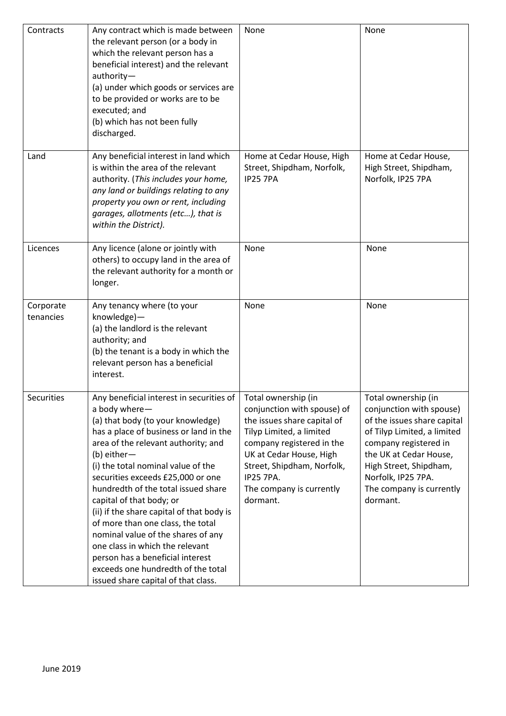| Contracts              | Any contract which is made between<br>the relevant person (or a body in<br>which the relevant person has a<br>beneficial interest) and the relevant<br>authority-<br>(a) under which goods or services are<br>to be provided or works are to be<br>executed; and<br>(b) which has not been fully<br>discharged.                                                                                                                                                                                                                                                                                                          | None                                                                                                                                                                                                                                                            | None                                                                                                                                                                                                                                                     |
|------------------------|--------------------------------------------------------------------------------------------------------------------------------------------------------------------------------------------------------------------------------------------------------------------------------------------------------------------------------------------------------------------------------------------------------------------------------------------------------------------------------------------------------------------------------------------------------------------------------------------------------------------------|-----------------------------------------------------------------------------------------------------------------------------------------------------------------------------------------------------------------------------------------------------------------|----------------------------------------------------------------------------------------------------------------------------------------------------------------------------------------------------------------------------------------------------------|
| Land                   | Any beneficial interest in land which<br>is within the area of the relevant<br>authority. (This includes your home,<br>any land or buildings relating to any<br>property you own or rent, including<br>garages, allotments (etc), that is<br>within the District).                                                                                                                                                                                                                                                                                                                                                       | Home at Cedar House, High<br>Street, Shipdham, Norfolk,<br><b>IP25 7PA</b>                                                                                                                                                                                      | Home at Cedar House,<br>High Street, Shipdham,<br>Norfolk, IP25 7PA                                                                                                                                                                                      |
| Licences               | Any licence (alone or jointly with<br>others) to occupy land in the area of<br>the relevant authority for a month or<br>longer.                                                                                                                                                                                                                                                                                                                                                                                                                                                                                          | None                                                                                                                                                                                                                                                            | None                                                                                                                                                                                                                                                     |
| Corporate<br>tenancies | Any tenancy where (to your<br>knowledge)-<br>(a) the landlord is the relevant<br>authority; and<br>(b) the tenant is a body in which the<br>relevant person has a beneficial<br>interest.                                                                                                                                                                                                                                                                                                                                                                                                                                | None                                                                                                                                                                                                                                                            | None                                                                                                                                                                                                                                                     |
| Securities             | Any beneficial interest in securities of<br>a body where-<br>(a) that body (to your knowledge)<br>has a place of business or land in the<br>area of the relevant authority; and<br>(b) either-<br>(i) the total nominal value of the<br>securities exceeds £25,000 or one<br>hundredth of the total issued share<br>capital of that body; or<br>(ii) if the share capital of that body is<br>of more than one class, the total<br>nominal value of the shares of any<br>one class in which the relevant<br>person has a beneficial interest<br>exceeds one hundredth of the total<br>issued share capital of that class. | Total ownership (in<br>conjunction with spouse) of<br>the issues share capital of<br>Tilyp Limited, a limited<br>company registered in the<br>UK at Cedar House, High<br>Street, Shipdham, Norfolk,<br><b>IP25 7PA.</b><br>The company is currently<br>dormant. | Total ownership (in<br>conjunction with spouse)<br>of the issues share capital<br>of Tilyp Limited, a limited<br>company registered in<br>the UK at Cedar House,<br>High Street, Shipdham,<br>Norfolk, IP25 7PA.<br>The company is currently<br>dormant. |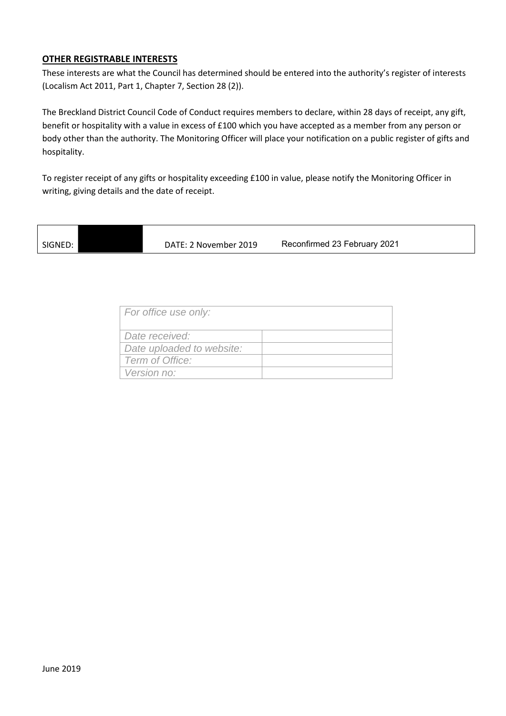## **OTHER REGISTRABLE INTERESTS**

These interests are what the Council has determined should be entered into the authority's register of interests (Localism Act 2011, Part 1, Chapter 7, Section 28 (2)).

The Breckland District Council Code of Conduct requires members to declare, within 28 days of receipt, any gift, benefit or hospitality with a value in excess of £100 which you have accepted as a member from any person or body other than the authority. The Monitoring Officer will place your notification on a public register of gifts and hospitality.

To register receipt of any gifts or hospitality exceeding £100 in value, please notify the Monitoring Officer in writing, giving details and the date of receipt.

SIGNED: DATE: 2 November 2019

Reconfirmed 23 February 2021

| For office use only:      |  |
|---------------------------|--|
| Date received:            |  |
| Date uploaded to website: |  |
| Term of Office:           |  |
| <i>Version no:</i>        |  |